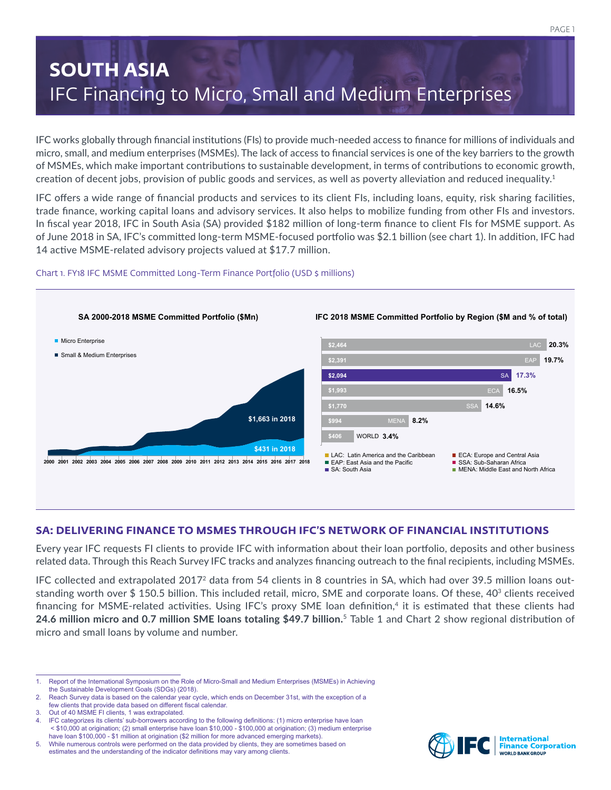# **SOUTH ASIA** IFC Financing to Micro, Small and Medium Enterprises

IFC works globally through financial institutions (FIs) to provide much-needed access to finance for millions of individuals and micro, small, and medium enterprises (MSMEs). The lack of access to financial services is one of the key barriers to the growth of MSMEs, which make important contributions to sustainable development, in terms of contributions to economic growth, creation of decent jobs, provision of public goods and services, as well as poverty alleviation and reduced inequality.<sup>1</sup>

IFC offers a wide range of financial products and services to its client FIs, including loans, equity, risk sharing facilities, trade finance, working capital loans and advisory services. It also helps to mobilize funding from other FIs and investors. In fiscal year 2018, IFC in South Asia (SA) provided \$182 million of long-term finance to client FIs for MSME support. As of June 2018 in SA, IFC's committed long-term MSME-focused portfolio was \$2.1 billion (see chart 1). In addition, IFC had 14 active MSME-related advisory projects valued at \$17.7 million.

# Chart 1. FY18 IFC MSME Committed Long-Term Finance Portfolio (USD \$ millions)



# **SA: DELIVERING FINANCE TO MSMES THROUGH IFC'S NETWORK OF FINANCIAL INSTITUTIONS**

Every year IFC requests FI clients to provide IFC with information about their loan portfolio, deposits and other business related data. Through this Reach Survey IFC tracks and analyzes financing outreach to the final recipients, including MSMEs.

IFC collected and extrapolated 20172 data from 54 clients in 8 countries in SA, which had over 39.5 million loans outstanding worth over \$ 150.5 billion. This included retail, micro, SME and corporate loans. Of these, 403 clients received financing for MSME-related activities. Using IFC's proxy SME loan definition,<sup>4</sup> it is estimated that these clients had **24.6 million micro and 0.7 million SME loans totaling \$49.7 billion.** <sup>5</sup> Table 1 and Chart 2 show regional distribution of micro and small loans by volume and number.



<sup>1.</sup> Report of the International Symposium on the Role of Micro-Small and Medium Enterprises (MSMEs) in Achieving the Sustainable Development Goals (SDGs) (2018).

<sup>2.</sup> Reach Survey data is based on the calendar year cycle, which ends on December 31st, with the exception of a few clients that provide data based on different fiscal calendar.

<sup>3.</sup> Out of 40 MSME FI clients, 1 was extrapolated.

<sup>4.</sup> IFC categorizes its clients' sub-borrowers according to the following definitions: (1) micro enterprise have loan < \$10,000 at origination; (2) small enterprise have loan \$10,000 - \$100,000 at origination; (3) medium enterprise have loan \$100,000 - \$1 million at origination (\$2 million for more advanced emerging markets).

<sup>5.</sup> While numerous controls were performed on the data provided by clients, they are sometimes based on estimates and the understanding of the indicator definitions may vary among clients.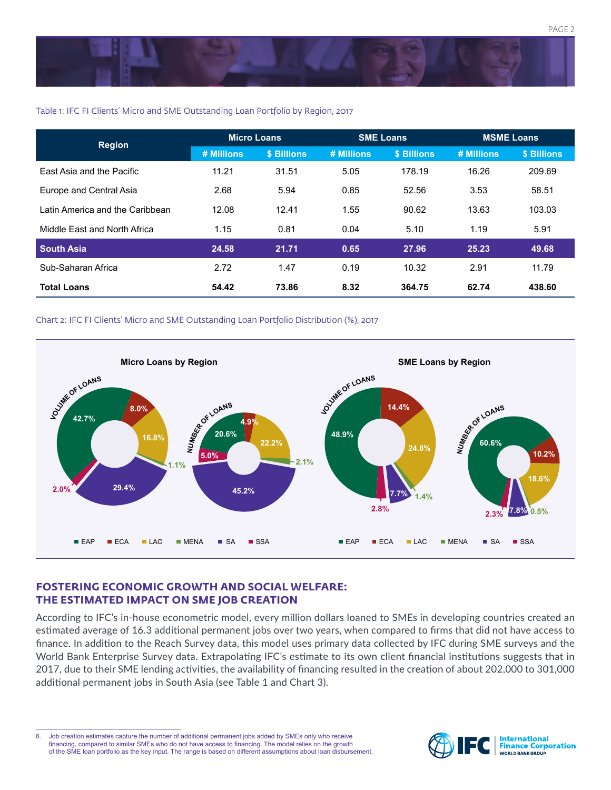

## Table 1: IFC FI Clients' Micro and SME Outstanding Loan Portfolio by Region, 2017

| <b>Region</b>                    | <b>Micro Loans</b> |             | <b>SME Loans</b> |             | <b>MSME Loans</b> |             |
|----------------------------------|--------------------|-------------|------------------|-------------|-------------------|-------------|
|                                  | # Millions         | \$ Billions | # Millions       | \$ Billions | # Millions        | \$ Billions |
| <b>East Asia and the Pacific</b> | 11.21              | 31.51       | 5.05             | 178.19      | 16.26             | 209.69      |
| Europe and Central Asia          | 2.68               | 5.94        | 0.85             | 52.56       | 3.53              | 58.51       |
| Latin America and the Caribbean  | 12.08              | 12.41       | 1.55             | 90.62       | 13.63             | 103.03      |
| Middle East and North Africa     | 1.15               | 0.81        | 0.04             | 5.10        | 1.19              | 5.91        |
| <b>South Asia</b>                | 24.58              | 21.71       | 0.65             | 27.96       | 25.23             | 49.68       |
| Sub-Saharan Africa               | 2.72               | 1.47        | 0.19             | 10.32       | 2.91              | 11.79       |
| <b>Total Loans</b>               | 54.42              | 73.86       | 8.32             | 364.75      | 62.74             | 438.60      |

### Chart 2: IFC FI Clients' Micro and SME Outstanding Loan Portfolio Distribution (%), 2017



# **FOSTERING ECONOMIC GROWTH AND SOCIAL WELFARE: THE ESTIMATED IMPACT ON SME JOB CREATION**

According to IFC's in-house econometric model, every million dollars loaned to SMEs in developing countries created an estimated average of 16.3 additional permanent jobs over two years, when compared to firms that did not have access to finance. In addition to the Reach Survey data, this model uses primary data collected by IFC during SME surveys and the World Bank Enterprise Survey data. Extrapolating IFC's estimate to its own client financial institutions suggests that in 2017, due to their SME lending activities, the availability of financing resulted in the creation of about 202,000 to 301,000 additional permanent jobs in South Asia (see Table 1 and Chart 3).



<sup>6.</sup> Job creation estimates capture the number of additional permanent jobs added by SMEs only who receive financing, compared to similar SMEs who do not have access to financing. The model relies on the growth of the SME loan portfolio as the key input. The range is based on different assumptions about loan disbursement.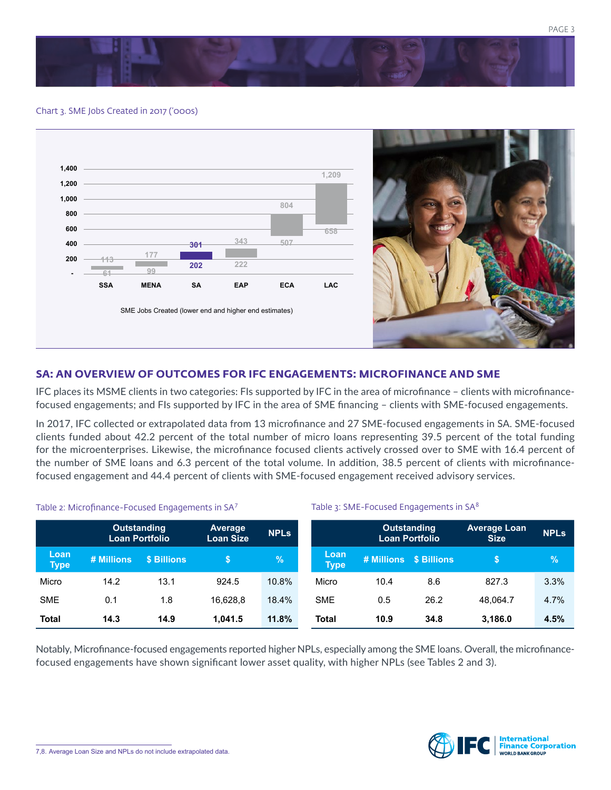



#### Chart 3. SME Jobs Created in 2017 ('000s)



# **SA: AN OVERVIEW OF OUTCOMES FOR IFC ENGAGEMENTS: MICROFINANCE AND SME**

IFC places its MSME clients in two categories: FIs supported by IFC in the area of microfinance – clients with microfinancefocused engagements; and FIs supported by IFC in the area of SME financing – clients with SME-focused engagements.

In 2017, IFC collected or extrapolated data from 13 microfinance and 27 SME-focused engagements in SA. SME-focused clients funded about 42.2 percent of the total number of micro loans representing 39.5 percent of the total funding for the microenterprises. Likewise, the microfinance focused clients actively crossed over to SME with 16.4 percent of the number of SME loans and 6.3 percent of the total volume. In addition, 38.5 percent of clients with microfinancefocused engagement and 44.4 percent of clients with SME-focused engagement received advisory services.

Table 3: SME-Focused Engagements in SA<sup>8</sup>

#### Table 2: Microfinance-Focused Engagements in SA<sup>7</sup>

|                     | <b>Outstanding</b><br><b>Loan Portfolio</b> |             | <b>Average</b><br><b>Loan Size</b> | <b>NPLs</b> |                     | <b>Outstanding</b><br><b>Loan Portfolio</b> |      | <b>Average Loan</b><br><b>Size</b> | <b>NPLs</b> |
|---------------------|---------------------------------------------|-------------|------------------------------------|-------------|---------------------|---------------------------------------------|------|------------------------------------|-------------|
| Loan<br><b>Type</b> | # Millions                                  | \$ Billions |                                    | $\%$        | Loan<br><b>Type</b> | # Millions \$ Billions                      |      |                                    | %           |
| Micro               | 14.2                                        | 13.1        | 924.5                              | 10.8%       | Micro               | 10.4                                        | 8.6  | 827.3                              | 3.3%        |
| <b>SME</b>          | 0.1                                         | 1.8         | 16.628.8                           | 18.4%       | <b>SME</b>          | 0.5                                         | 26.2 | 48.064.7                           | 4.7%        |
| <b>Total</b>        | 14.3                                        | 14.9        | 1.041.5                            | 11.8%       | Total               | 10.9                                        | 34.8 | 3,186.0                            | 4.5%        |

Notably, Microfinance-focused engagements reported higher NPLs, especially among the SME loans. Overall, the microfinancefocused engagements have shown significant lower asset quality, with higher NPLs (see Tables 2 and 3).

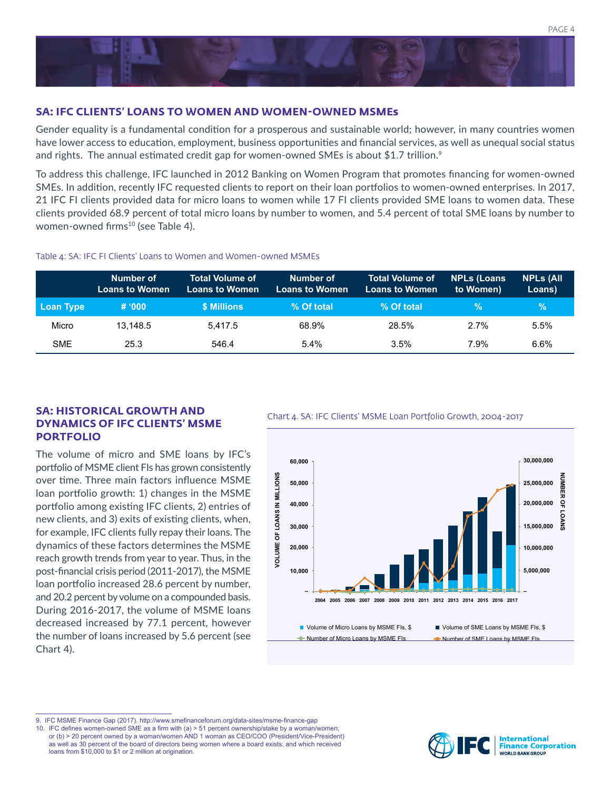

# **SA: IFC CLIENTS' LOANS TO WOMEN AND WOMEN-OWNED MSMEs**

Gender equality is a fundamental condition for a prosperous and sustainable world; however, in many countries women have lower access to education, employment, business opportunities and financial services, as well as unequal social status and rights. The annual estimated credit gap for women-owned SMEs is about \$1.7 trillion.<sup>9</sup>

To address this challenge, IFC launched in 2012 Banking on Women Program that promotes financing for women-owned SMEs. In addition, recently IFC requested clients to report on their loan portfolios to women-owned enterprises. In 2017, 21 IFC FI clients provided data for micro loans to women while 17 FI clients provided SME loans to women data. These clients provided 68.9 percent of total micro loans by number to women, and 5.4 percent of total SME loans by number to women-owned firms<sup>10</sup> (see Table 4).

#### Table 4: SA: IFC FI Clients' Loans to Women and Women-owned MSMEs

|            | Number of<br><b>Loans to Women</b> | <b>Total Volume of</b><br><b>Loans to Women</b> | Number of<br><b>Loans to Women</b> | <b>Total Volume of</b><br>Loans to Women' | <b>NPLs (Loans)</b><br>to Women) | <b>NPLS (All</b><br>Loans) |
|------------|------------------------------------|-------------------------------------------------|------------------------------------|-------------------------------------------|----------------------------------|----------------------------|
| Loan Type  | # '000                             | \$ Millions                                     | % Of total                         | % Of total                                | $\%$                             | $\mathcal{A}$              |
| Micro      | 13.148.5                           | 5.417.5                                         | 68.9%                              | 28.5%                                     | 2.7%                             | 5.5%                       |
| <b>SME</b> | 25.3                               | 546.4                                           | $5.4\%$                            | 3.5%                                      | 7.9%                             | 6.6%                       |

# **SA: HISTORICAL GROWTH AND**<br>Chart 4. SA: IFC Clients' MSME Loan Portfolio Growth, 2004-2017 **DYNAMICS OF IFC CLIENTS' MSME PORTFOLIO**

The volume of micro and SME loans by IFC's portfolio of MSME client FIs has grown consistently over time. Three main factors influence MSME loan portfolio growth: 1) changes in the MSME portfolio among existing IFC clients, 2) entries of new clients, and 3) exits of existing clients, when, for example, IFC clients fully repay their loans. The dynamics of these factors determines the MSME reach growth trends from year to year. Thus, in the post-financial crisis period (2011-2017), the MSME loan portfolio increased 28.6 percent by number, and 20.2 percent by volume on a compounded basis. During 2016-2017, the volume of MSME loans decreased increased by 77.1 percent, however the number of loans increased by 5.6 percent (see Chart 4).



10. IFC defines women-owned SME as a firm with (a) > 51 percent ownership/stake by a woman/women; or (b) > 20 percent owned by a woman/women AND 1 woman as CEO/COO (President/Vice-President) as well as 30 percent of the board of directors being women where a board exists; and which received loans from \$10,000 to \$1 or 2 million at origination.



<sup>9.</sup> IFC MSME Finance Gap (2017). http://www.smefinanceforum.org/data-sites/msme-finance-gap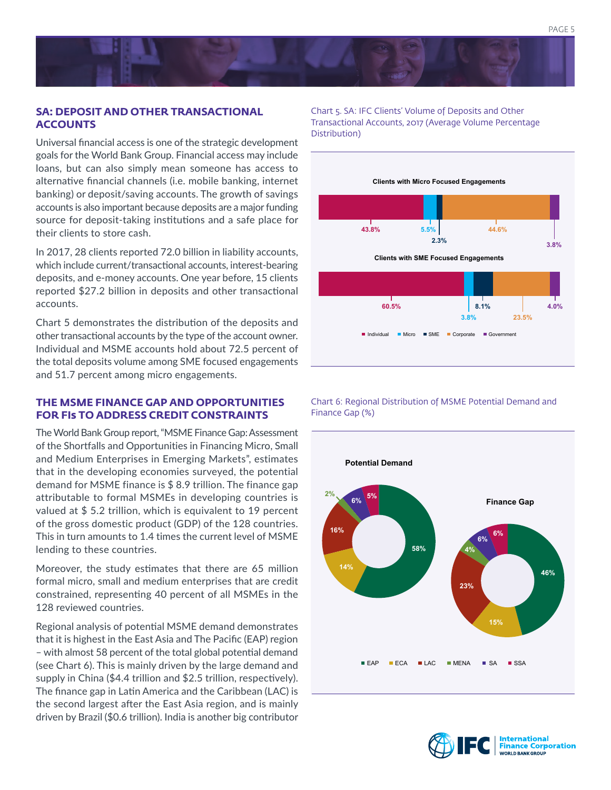# **SA: DEPOSIT AND OTHER TRANSACTIONAL ACCOUNTS**

Universal financial access is one of the strategic development goals for the World Bank Group. Financial access may include loans, but can also simply mean someone has access to alternative financial channels (i.e. mobile banking, internet banking) or deposit/saving accounts. The growth of savings accounts is also important because deposits are a major funding source for deposit-taking institutions and a safe place for their clients to store cash.

In 2017, 28 clients reported 72.0 billion in liability accounts, which include current/transactional accounts, interest-bearing deposits, and e-money accounts. One year before, 15 clients reported \$27.2 billion in deposits and other transactional accounts.

Chart 5 demonstrates the distribution of the deposits and other transactional accounts by the type of the account owner. Individual and MSME accounts hold about 72.5 percent of the total deposits volume among SME focused engagements and 51.7 percent among micro engagements.

# **THE MSME FINANCE GAP AND OPPORTUNITIES FOR FIs TO ADDRESS CREDIT CONSTRAINTS**

The World Bank Group report, "MSME Finance Gap: Assessment of the Shortfalls and Opportunities in Financing Micro, Small and Medium Enterprises in Emerging Markets", estimates that in the developing economies surveyed, the potential demand for MSME finance is \$ 8.9 trillion. The finance gap attributable to formal MSMEs in developing countries is valued at \$ 5.2 trillion, which is equivalent to 19 percent of the gross domestic product (GDP) of the 128 countries. This in turn amounts to 1.4 times the current level of MSME lending to these countries.

Moreover, the study estimates that there are 65 million formal micro, small and medium enterprises that are credit constrained, representing 40 percent of all MSMEs in the 128 reviewed countries.

Regional analysis of potential MSME demand demonstrates that it is highest in the East Asia and The Pacific (EAP) region – with almost 58 percent of the total global potential demand (see Chart 6). This is mainly driven by the large demand and supply in China (\$4.4 trillion and \$2.5 trillion, respectively). The finance gap in Latin America and the Caribbean (LAC) is the second largest after the East Asia region, and is mainly driven by Brazil (\$0.6 trillion). India is another big contributor Chart 5. SA: IFC Clients' Volume of Deposits and Other Transactional Accounts, 2017 (Average Volume Percentage Distribution)